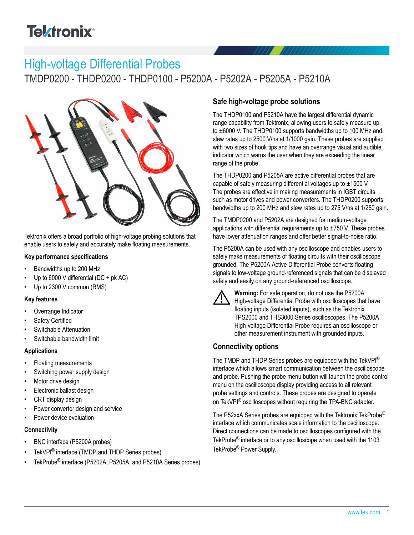# **Telxtronix**<sup>®</sup>

# High-voltage Differential Probes

TMDP0200 - THDP0200 - THDP0100 - P5200A - P5202A - P5205A - P5210A



Tektronix offers a broad portfolio of high-voltage probing solutions that enable users to safely and accurately make floating measurements.

#### **Key performance specifications**

- Bandwidths up to 200 MHz
- Up to 6000 V differential (DC + pk AC)
- Up to 2300 V common (RMS)

#### **Key features**

- Overrange Indicator
- Safety Certified
- Switchable Attenuation
- Switchable bandwidth limit

#### **Applications**

- Floating measurements
- Switching power supply design
- Motor drive design
- Electronic ballast design
- CRT display design
- Power converter design and service
- Power device evaluation

#### **Connectivity**

- BNC interface (P5200A probes)
- TekVPI<sup>®</sup> interface (TMDP and THDP Series probes)
- TekProbe<sup>®</sup> interface (P5202A, P5205A, and P5210A Series probes)

#### **Safe high-voltage probe solutions**

The THDP0100 and P5210A have the largest differential dynamic range capability from Tektronix, allowing users to safely measure up to ±6000 V. The THDP0100 supports bandwidths up to 100 MHz and slew rates up to 2500 V/ns at 1/1000 gain. These probes are supplied with two sizes of hook tips and have an overrange visual and audible indicator which warns the user when they are exceeding the linear range of the probe.

The THDP0200 and P5205A are active differential probes that are capable of safely measuring differential voltages up to ±1500 V. The probes are effective in making measurements in IGBT circuits such as motor drives and power converters. The THDP0200 supports bandwidths up to 200 MHz and slew rates up to 275 V/ns at 1/250 gain.

The TMDP0200 and P5202A are designed for medium-voltage applications with differential requirements up to  $\pm$ 750 V. These probes have lower attenuation ranges and offer better signal-to-noise ratio.

The P5200A can be used with any oscilloscope and enables users to safely make measurements of floating circuits with their oscilloscope grounded. The P5200A Active Differential Probe converts floating signals to low-voltage ground-referenced signals that can be displayed safely and easily on any ground-referenced oscilloscope.



**Warning:** For safe operation, do not use the P5200A High-voltage Differential Probe with oscilloscopes that have floating inputs (isolated inputs), such as the Tektronix TPS2000 and THS3000 Series oscilloscopes. The P5200A High-voltage Differential Probe requires an oscilloscope or other measurement instrument with grounded inputs.

#### **Connectivity options**

The TMDP and THDP Series probes are equipped with the TekVPI® interface which allows smart communication between the oscilloscope and probe. Pushing the probe menu button will launch the probe control menu on the oscilloscope display providing access to all relevant probe settings and controls. These probes are designed to operate on TekVPI<sup>®</sup> oscilloscopes without requiring the TPA-BNC adapter.

The P52xxA Series probes are equipped with the Tektronix TekProbe® interface which communicates scale information to the oscilloscope. Direct connections can be made to oscilloscopes configured with the TekProbe® interface or to any oscilloscope when used with the 1103 TekProbe® Power Supply.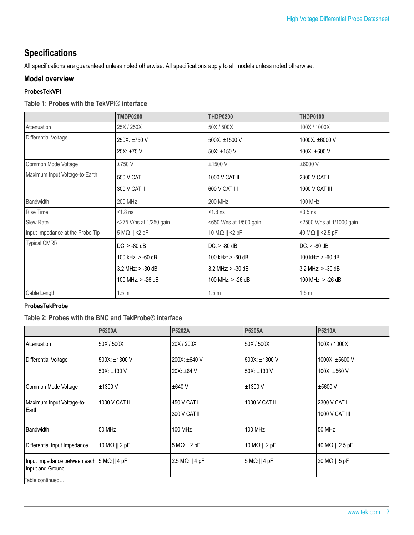### **Specifications**

All specifications are guaranteed unless noted otherwise. All specifications apply to all models unless noted otherwise.

#### **Model overview**

#### **ProbesTekVPI**

#### **Table 1: Probes with the TekVPI® interface**

|                                  | <b>TMDP0200</b>         | <b>THDP0200</b>         | <b>THDP0100</b>           |
|----------------------------------|-------------------------|-------------------------|---------------------------|
| Attenuation                      | 25X / 250X              | 50X / 500X              | 100X / 1000X              |
| Differential Voltage             | 250X: ±750 V            | 500X: ±1500 V           | 1000X: ±6000 V            |
|                                  | $25X: \pm 75V$          | $50X: \pm 150V$         | 100X: ±600 V              |
| Common Mode Voltage              | ±750V                   | $±1500$ V               | $\pm 6000$ V              |
| Maximum Input Voltage-to-Earth   | 550 V CAT I             | 1000 V CAT II           | 2300 V CAT I              |
|                                  | 300 V CAT III           | 600 V CAT III           | 1000 V CAT III            |
| <b>Bandwidth</b>                 | 200 MHz                 | <b>200 MHz</b>          | <b>100 MHz</b>            |
| <b>Rise Time</b>                 | $< 1.8$ ns              | $< 1.8$ ns              | $<$ 3.5 ns                |
| Slew Rate                        | <275 V/ns at 1/250 gain | <650 V/ns at 1/500 gain | <2500 V/ns at 1/1000 gain |
| Input Impedance at the Probe Tip | $5 M\Omega$    <2 pF    | 10 M $\Omega$    <2 pF  | 40 MΩ    <2.5 pF          |
| <b>Typical CMRR</b>              | $DC: > -80$ dB          | $DC: > -80$ dB          | $DC: > -80$ dB            |
|                                  | 100 kHz: > -60 dB       | 100 kHz: $> -60$ dB     | 100 kHz: > -60 dB         |
|                                  | $3.2$ MHz: $> -30$ dB   | $3.2$ MHz: $> -30$ dB   | $3.2$ MHz: $> -30$ dB     |
|                                  | 100 MHz: $> -26$ dB     | 100 MHz: > -26 dB       | 100 MHz: > -26 dB         |
| Cable Length                     | 1.5 <sub>m</sub>        | 1.5 <sub>m</sub>        | 1.5 <sub>m</sub>          |

#### **ProbesTekProbe**

#### **Table 2: Probes with the BNC and TekProbe® interface**

|                                                               | <b>P5200A</b>                         | P5202A                          | <b>P5205A</b>                    | <b>P5210A</b>                  |
|---------------------------------------------------------------|---------------------------------------|---------------------------------|----------------------------------|--------------------------------|
| Attenuation                                                   | 50X / 500X                            | 20X / 200X                      | 50X / 500X                       | 100X / 1000X                   |
| Differential Voltage                                          | 500X: $\pm$ 1300 V<br>$50X: \pm 130V$ | 200X: ±640 V<br>$20X: \pm 64$ V | 500X: ±1300 V<br>$50X: \pm 130V$ | 1000X: ±5600 V<br>100X: ±560 V |
| Common Mode Voltage                                           | $±1300$ V                             | ±640V                           | $±1300$ V                        | $±5600$ V                      |
| Maximum Input Voltage-to-<br>Earth                            | 1000 V CAT II                         | 450 V CAT I<br>300 V CAT II     | 1000 V CAT II                    | 2300 V CAT I<br>1000 V CAT III |
| Bandwidth                                                     | 50 MHz                                | <b>100 MHz</b>                  | 100 MHz                          | 50 MHz                         |
| Differential Input Impedance                                  | 10 M $\Omega$    2 pF                 | $5 M\Omega    2 pF$             | 10 M $\Omega$    2 pF            | 40 M $\Omega$    2.5 pF        |
| Input Impedance between each 5 MΩ    4 pF<br>Input and Ground |                                       | $2.5 M\Omega    4 pF$           | $ 5 M\Omega   4 pF$              | 20 M $\Omega$    5 pF          |
| Table continued                                               |                                       |                                 |                                  |                                |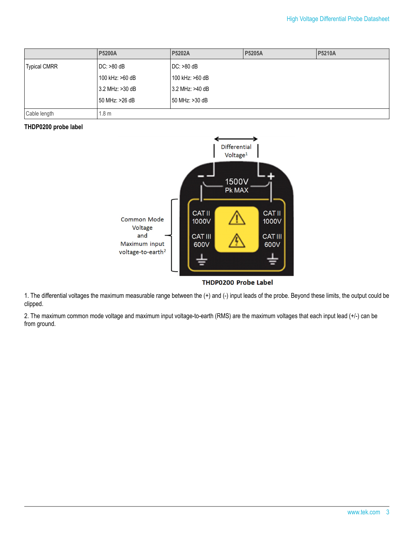|              | <b>P5200A</b>    | <b>P5202A</b>    | <b>P5205A</b> | <b>P5210A</b> |
|--------------|------------------|------------------|---------------|---------------|
| Typical CMRR | $DC: >80$ dB     | $DC: >80$ dB     |               |               |
|              | 100 kHz: >60 dB  | 100 kHz: >60 dB  |               |               |
|              | 3.2 MHz: >30 dB  | 13.2 MHz: >40 dB |               |               |
|              | 50 MHz: >26 dB   | 50 MHz: >30 dB   |               |               |
| Cable length | 1.8 <sub>m</sub> |                  |               |               |

#### **THDP0200 probe label**



THDP0200 Probe Label

1. The differential voltages the maximum measurable range between the (+) and (-) input leads of the probe. Beyond these limits, the output could be clipped.

2. The maximum common mode voltage and maximum input voltage-to-earth (RMS) are the maximum voltages that each input lead (+/-) can be from ground.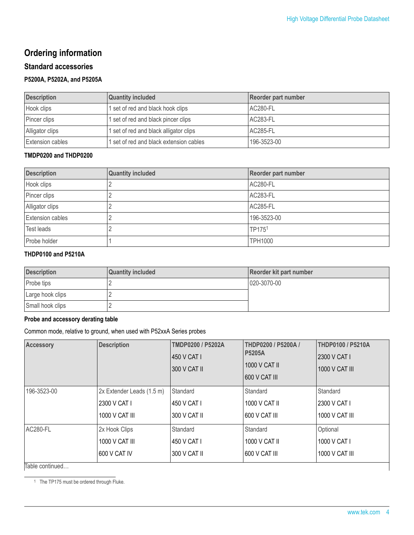## **Ordering information**

#### **Standard accessories**

#### **P5200A, P5202A, and P5205A**

| <b>Description</b>      | <b>Quantity included</b>               | Reorder part number |
|-------------------------|----------------------------------------|---------------------|
| Hook clips              | 1 set of red and black hook clips      | <b>AC280-FL</b>     |
| Pincer clips            | 1 set of red and black pincer clips    | AC283-FL            |
| Alligator clips         | 1 set of red and black alligator clips | AC285-FL            |
| <b>Extension cables</b> | set of red and black extension cables  | 196-3523-00         |

#### **TMDP0200 and THDP0200**

| <b>Description</b>      | <b>Quantity included</b> | <b>Reorder part number</b> |
|-------------------------|--------------------------|----------------------------|
| Hook clips              |                          | AC280-FL                   |
| Pincer clips            |                          | AC283-FL                   |
| Alligator clips         |                          | AC285-FL                   |
| <b>Extension cables</b> |                          | 196-3523-00                |
| Test leads              |                          | TP1751                     |
| Probe holder            |                          | <b>TPH1000</b>             |

#### **THDP0100 and P5210A**

| <b>Description</b> | <b>Quantity included</b> | Reorder kit part number |
|--------------------|--------------------------|-------------------------|
| <b>Probe tips</b>  |                          | 1020-3070-00            |
| Large hook clips   |                          |                         |
| Small hook clips   |                          |                         |

#### **Probe and accessory derating table**

Common mode, relative to ground, when used with P52xxA Series probes

| <b>Accessory</b>  | <b>Description</b>        | TMDP0200 / P5202A<br>1450 V CAT I<br>300 V CAT II | THDP0200 / P5200A /<br><b>P5205A</b><br>1000 V CAT II<br>600 V CAT III | <b>THDP0100 / P5210A</b><br>2300 V CAT I<br><b>1000 V CAT III</b> |
|-------------------|---------------------------|---------------------------------------------------|------------------------------------------------------------------------|-------------------------------------------------------------------|
| 196-3523-00       | 2x Extender Leads (1.5 m) | Standard                                          | Standard                                                               | Standard                                                          |
|                   | 2300 V CAT I              | 450 V CAT I                                       | 1000 V CAT II                                                          | 2300 V CAT I                                                      |
|                   | 1000 V CAT III            | 300 V CAT II                                      | 600 V CAT III                                                          | 1000 V CAT III                                                    |
| AC280-FL          | 2x Hook Clips             | Standard                                          | Standard                                                               | Optional                                                          |
| le a contrato     | 1000 V CAT III            | 450 V CAT I                                       | 1000 V CAT II                                                          | 1000 V CAT I                                                      |
| $\cdots$ $\cdots$ | <b>600 V CAT IV</b>       | 300 V CAT II                                      | 600 V CAT III                                                          | 1000 V CAT III                                                    |

Table continued…

1 The TP175 must be ordered through Fluke.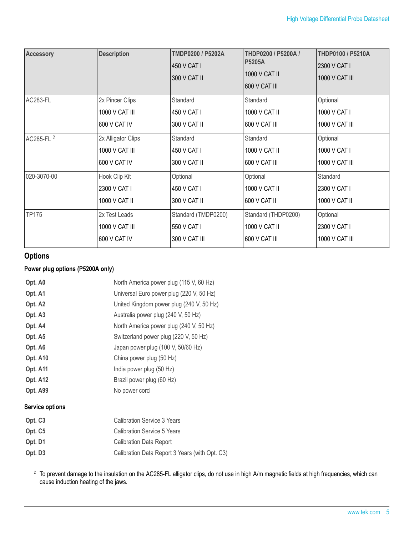| <b>Accessory</b>      | <b>Description</b> | TMDP0200 / P5202A<br>450 V CAT I<br>300 V CAT II | THDP0200 / P5200A /<br><b>P5205A</b><br>1000 V CAT II<br>600 V CAT III | <b>THDP0100 / P5210A</b><br>2300 V CAT I<br>1000 V CAT III |
|-----------------------|--------------------|--------------------------------------------------|------------------------------------------------------------------------|------------------------------------------------------------|
| AC283-FL              | 2x Pincer Clips    | Standard                                         | Standard                                                               | Optional                                                   |
|                       | 1000 V CAT III     | 450 V CAT I                                      | 1000 V CAT II                                                          | 1000 V CAT I                                               |
|                       | 600 V CAT IV       | 300 V CAT II                                     | 600 V CAT III                                                          | 1000 V CAT III                                             |
| AC285-FL <sup>2</sup> | 2x Alligator Clips | Standard                                         | Standard                                                               | Optional                                                   |
|                       | 1000 V CAT III     | 450 V CAT I                                      | 1000 V CAT II                                                          | 1000 V CAT I                                               |
|                       | 600 V CAT IV       | 300 V CAT II                                     | 600 V CAT III                                                          | 1000 V CAT III                                             |
| 020-3070-00           | Hook Clip Kit      | Optional                                         | Optional                                                               | Standard                                                   |
|                       | 2300 V CAT I       | 450 V CAT I                                      | 1000 V CAT II                                                          | 2300 V CAT I                                               |
|                       | 1000 V CAT II      | 300 V CAT II                                     | 600 V CAT II                                                           | 1000 V CAT II                                              |
| <b>TP175</b>          | 2x Test Leads      | Standard (TMDP0200)                              | Standard (THDP0200)                                                    | Optional                                                   |
|                       | 1000 V CAT III     | 550 V CAT I                                      | 1000 V CAT II                                                          | 2300 V CAT I                                               |
|                       | 600 V CAT IV       | 300 V CAT III                                    | 600 V CAT III                                                          | 1000 V CAT III                                             |

#### **Options**

#### **Power plug options (P5200A only)**

| Opt. A0                | North America power plug (115 V, 60 Hz)        |  |
|------------------------|------------------------------------------------|--|
| Opt. A1                | Universal Euro power plug (220 V, 50 Hz)       |  |
| Opt. A <sub>2</sub>    | United Kingdom power plug (240 V, 50 Hz)       |  |
| Opt. A3                | Australia power plug (240 V, 50 Hz)            |  |
| Opt. A4                | North America power plug (240 V, 50 Hz)        |  |
| Opt. A5                | Switzerland power plug (220 V, 50 Hz)          |  |
| Opt. A6                | Japan power plug (100 V, 50/60 Hz)             |  |
| <b>Opt. A10</b>        | China power plug (50 Hz)                       |  |
| Opt. A11               | India power plug (50 Hz)                       |  |
| Opt. A12               | Brazil power plug (60 Hz)                      |  |
| Opt. A99               | No power cord                                  |  |
| <b>Service options</b> |                                                |  |
| Opt. C <sub>3</sub>    | <b>Calibration Service 3 Years</b>             |  |
| Opt. C5                | <b>Calibration Service 5 Years</b>             |  |
| Opt. D1                | <b>Calibration Data Report</b>                 |  |
| Opt. D3                | Calibration Data Report 3 Years (with Opt. C3) |  |

 $^2$  To prevent damage to the insulation on the AC285-FL alligator clips, do not use in high A/m magnetic fields at high frequencies, which can cause induction heating of the jaws.